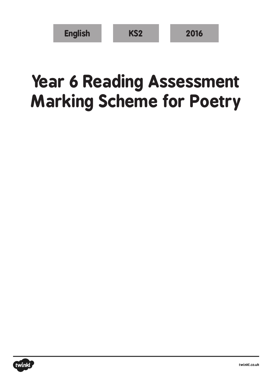| <b>English</b> | KS <sub>2</sub> | 2016 |
|----------------|-----------------|------|
|----------------|-----------------|------|

## **Year 6 Reading Assessment Marking Scheme for Poetry**

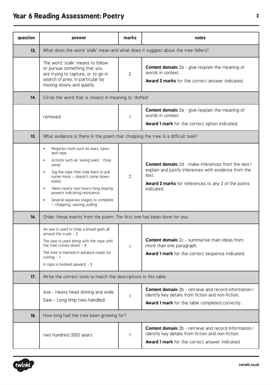## **Year 6 Reading Assessment: Poetry <sup>2</sup>**

| question | answer                                                                                                                                                                                                                                                                                                                                    | marks | notes                                                                                                                                                                                                     |  |  |
|----------|-------------------------------------------------------------------------------------------------------------------------------------------------------------------------------------------------------------------------------------------------------------------------------------------------------------------------------------------|-------|-----------------------------------------------------------------------------------------------------------------------------------------------------------------------------------------------------------|--|--|
| 13.      | What does the word 'stalk' mean and what does it suggest about the tree fellers?                                                                                                                                                                                                                                                          |       |                                                                                                                                                                                                           |  |  |
|          | The word 'stalk' means to follow<br>or pursue something that you<br>are trying to capture, or to go in<br>search of prey, in particular by<br>moving slowly and quietly.                                                                                                                                                                  | 2     | <b>Content domain:</b> 2a - give / explain the meaning of<br>words in context.<br><b>Award 2 marks</b> for the correct answer indicated.                                                                  |  |  |
| 14.      | Circle the word that is closest in meaning to 'doffed'                                                                                                                                                                                                                                                                                    |       |                                                                                                                                                                                                           |  |  |
|          | removed                                                                                                                                                                                                                                                                                                                                   | 1     | <b>Content domain:</b> 2a - give / explain the meaning of<br>words in context.<br>Award 1 mark for the correct option indicated.                                                                          |  |  |
| 15.      | What evidence is there in the poem that chopping the tree is a difficult task?                                                                                                                                                                                                                                                            |       |                                                                                                                                                                                                           |  |  |
|          | Requires tools such as axes, saws<br>and rope<br>Actions such as 'swing axes', 'chop<br>away'<br>Tug the rope then step back to pull<br>some more - doesn't come down<br>easily<br>Takes nearly two hours/long staying<br>$\bullet$<br>powers indicating resistance<br>Several separate stages to complete<br>- chopping, sawing, pulling | 2     | <b>Content domain:</b> 2d - make inferences from the text /<br>explain and justify inferences with evidence from the<br>text.<br><b>Award 2 marks</b> for references to any 2 of the points<br>indicated. |  |  |
| 16.      | Order these events from the poem. The first one has been done for you.                                                                                                                                                                                                                                                                    |       |                                                                                                                                                                                                           |  |  |
|          | An axe is used to chop a broad gash all<br>around the trunk. - 2<br>The saw is used along with the rope until<br>the tree comes down. - 4<br>The tree is marked in advance ready for<br>cutting. $-1$<br>A rope is hooked upward. - 3                                                                                                     | 1     | <b>Content domain:</b> 2c - summarise main ideas from<br>more than one paragraph.<br>Award 1 mark for the correct sequence indicated.                                                                     |  |  |
| 17.      | Write the correct tools to match the descriptions in this table.                                                                                                                                                                                                                                                                          |       |                                                                                                                                                                                                           |  |  |
|          | Axe - Heavy head shining and wide<br>Saw - Long limp two-handled                                                                                                                                                                                                                                                                          | 1     | <b>Content domain:</b> 2b - retrieve and record information/<br>identify key details from fiction and non-fiction.<br><b>Award 1 mark</b> for the table completed correctly.                              |  |  |
| 18.      | How long had the tree been growing for?                                                                                                                                                                                                                                                                                                   |       |                                                                                                                                                                                                           |  |  |
|          | two hundred (200) years                                                                                                                                                                                                                                                                                                                   | 1     | <b>Content domain:</b> 2b - retrieve and record information/<br>identify key details from fiction and non-fiction.<br><b>Award 1 mark</b> for the correct answer indicated.                               |  |  |

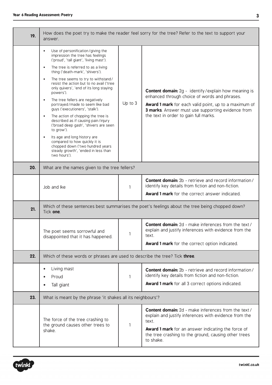| 19. | How does the poet try to make the reader feel sorry for the tree? Refer to the text to support your<br>answer.                                                                                                                                                                                                                                                                                                                                                                                                                                                                                                                                                                                                                                                                                                                |         |                                                                                                                                                                                                                                                                            |  |  |
|-----|-------------------------------------------------------------------------------------------------------------------------------------------------------------------------------------------------------------------------------------------------------------------------------------------------------------------------------------------------------------------------------------------------------------------------------------------------------------------------------------------------------------------------------------------------------------------------------------------------------------------------------------------------------------------------------------------------------------------------------------------------------------------------------------------------------------------------------|---------|----------------------------------------------------------------------------------------------------------------------------------------------------------------------------------------------------------------------------------------------------------------------------|--|--|
|     | Use of personification/giving the<br>$\bullet$<br>impression the tree has feelings<br>('proud', 'tall giant', 'living mast').<br>The tree is referred to as a living<br>$\bullet$<br>thing ('death-mark', 'shivers').<br>The tree seems to try to withstand/<br>$\bullet$<br>resist the action but to no avail ('tree<br>only quivers', 'end of its long staying<br>powers').<br>The tree fellers are negatively<br>$\bullet$<br>portrayed/made to seem like bad<br>guys ('executioners', 'stalk').<br>The action of chopping the tree is<br>$\bullet$<br>described as if causing pain/injury<br>('broad deep gash', 'shivers are seen<br>to grow').<br>Its age and long history are<br>$\bullet$<br>compared to how quickly it is<br>chopped down ('two hundred years<br>steady growth', 'ended in less than<br>two hours'). | Up to 3 | <b>Content domain:</b> 2g - identify/explain how meaning is<br>enhanced through choice of words and phrases.<br><b>Award 1 mark</b> for each valid point, up to a maximum of<br>3 marks. Answer must use supporting evidence from<br>the text in order to gain full marks. |  |  |
| 20. | What are the names given to the tree fellers?                                                                                                                                                                                                                                                                                                                                                                                                                                                                                                                                                                                                                                                                                                                                                                                 |         |                                                                                                                                                                                                                                                                            |  |  |
|     | Job and Ike                                                                                                                                                                                                                                                                                                                                                                                                                                                                                                                                                                                                                                                                                                                                                                                                                   | 1       | <b>Content domain:</b> 2b - retrieve and record information/<br>identify key details from fiction and non-fiction.<br><b>Award 1 mark</b> for the correct answer indicated.                                                                                                |  |  |
| 21. | Which of these sentences best summarises the poet's feelings about the tree being chopped down?<br>Tick one.                                                                                                                                                                                                                                                                                                                                                                                                                                                                                                                                                                                                                                                                                                                  |         |                                                                                                                                                                                                                                                                            |  |  |
|     | The poet seems sorrowful and<br>disappointed that it has happened.                                                                                                                                                                                                                                                                                                                                                                                                                                                                                                                                                                                                                                                                                                                                                            | 1       | <b>Content domain:</b> 2d - make inferences from the text /<br>explain and justify inferences with evidence from the<br>text.<br>Award 1 mark for the correct option indicated.                                                                                            |  |  |
| 22. | Which of these words or phrases are used to describe the tree? Tick three.                                                                                                                                                                                                                                                                                                                                                                                                                                                                                                                                                                                                                                                                                                                                                    |         |                                                                                                                                                                                                                                                                            |  |  |
|     | Living mast<br>$\bullet$<br>Proud<br>$\bullet$<br>Tall giant                                                                                                                                                                                                                                                                                                                                                                                                                                                                                                                                                                                                                                                                                                                                                                  | 1       | <b>Content domain:</b> 2b - retrieve and record information/<br>identify key details from fiction and non-fiction.<br><b>Award 1 mark</b> for all 3 correct options indicated.                                                                                             |  |  |
| 23. | What is meant by the phrase 'it shakes all its neighbours'?                                                                                                                                                                                                                                                                                                                                                                                                                                                                                                                                                                                                                                                                                                                                                                   |         |                                                                                                                                                                                                                                                                            |  |  |
|     | The force of the tree crashing to<br>the ground causes other trees to<br>shake.                                                                                                                                                                                                                                                                                                                                                                                                                                                                                                                                                                                                                                                                                                                                               | 1       | <b>Content domain:</b> 2d - make inferences from the text /<br>explain and justify inferences with evidence from the<br>text.<br><b>Award 1 mark</b> for an answer indicating the force of<br>the tree crashing to the ground, causing other trees<br>to shake.            |  |  |